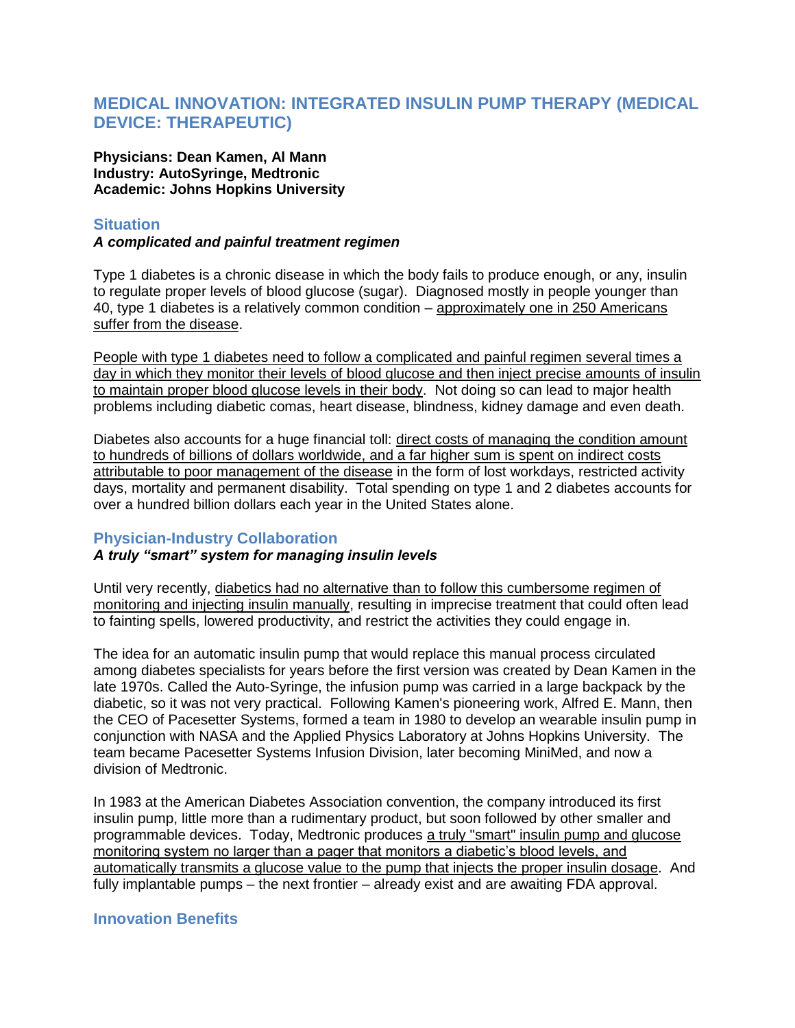# **MEDICAL INNOVATION: INTEGRATED INSULIN PUMP THERAPY (MEDICAL DEVICE: THERAPEUTIC)**

**Physicians: Dean Kamen, Al Mann Industry: AutoSyringe, Medtronic Academic: Johns Hopkins University**

# **Situation**

#### *A complicated and painful treatment regimen*

Type 1 diabetes is a chronic disease in which the body fails to produce enough, or any, insulin to regulate proper levels of blood glucose (sugar). Diagnosed mostly in people younger than 40, type 1 diabetes is a relatively common condition – approximately one in 250 Americans suffer from the disease.

People with type 1 diabetes need to follow a complicated and painful regimen several times a day in which they monitor their levels of blood glucose and then inject precise amounts of insulin to maintain proper blood glucose levels in their body. Not doing so can lead to major health problems including diabetic comas, heart disease, blindness, kidney damage and even death.

Diabetes also accounts for a huge financial toll: direct costs of managing the condition amount to hundreds of billions of dollars worldwide, and a far higher sum is spent on indirect costs attributable to poor management of the disease in the form of lost workdays, restricted activity days, mortality and permanent disability. Total spending on type 1 and 2 diabetes accounts for over a hundred billion dollars each year in the United States alone.

## **Physician-Industry Collaboration**

## *A truly "smart" system for managing insulin levels*

Until very recently, diabetics had no alternative than to follow this cumbersome regimen of monitoring and injecting insulin manually, resulting in imprecise treatment that could often lead to fainting spells, lowered productivity, and restrict the activities they could engage in.

The idea for an automatic insulin pump that would replace this manual process circulated among diabetes specialists for years before the first version was created by Dean Kamen in the late 1970s. Called the Auto-Syringe, the infusion pump was carried in a large backpack by the diabetic, so it was not very practical. Following Kamen's pioneering work, Alfred E. Mann, then the CEO of Pacesetter Systems, formed a team in 1980 to develop an wearable insulin pump in conjunction with NASA and the Applied Physics Laboratory at Johns Hopkins University. The team became Pacesetter Systems Infusion Division, later becoming MiniMed, and now a division of Medtronic.

In 1983 at the American Diabetes Association convention, the company introduced its first insulin pump, little more than a rudimentary product, but soon followed by other smaller and programmable devices. Today, Medtronic produces a truly "smart" insulin pump and glucose monitoring system no larger than a pager that monitors a diabetic's blood levels, and automatically transmits a glucose value to the pump that injects the proper insulin dosage. And fully implantable pumps – the next frontier – already exist and are awaiting FDA approval.

## **Innovation Benefits**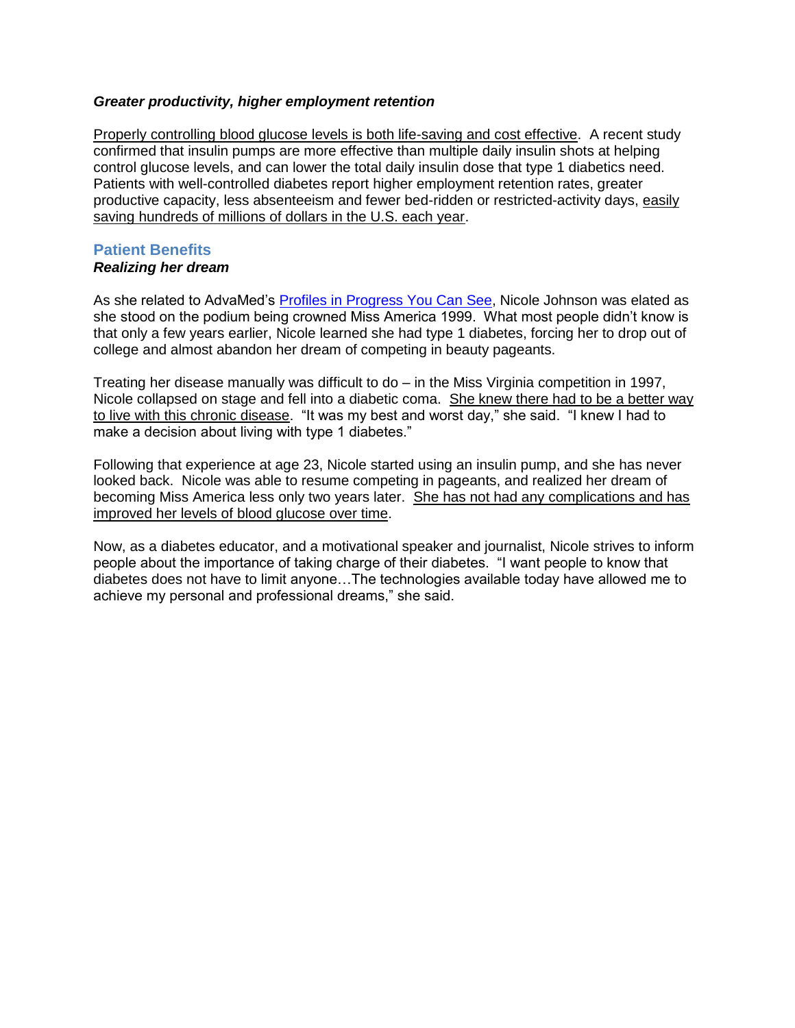#### *Greater productivity, higher employment retention*

Properly controlling blood glucose levels is both life-saving and cost effective. A recent study confirmed that insulin pumps are more effective than multiple daily insulin shots at helping control glucose levels, and can lower the total daily insulin dose that type 1 diabetics need. Patients with well-controlled diabetes report higher employment retention rates, greater productive capacity, less absenteeism and fewer bed-ridden or restricted-activity days, easily saving hundreds of millions of dollars in the U.S. each year.

# **Patient Benefits**

#### *Realizing her dream*

As she related to AdvaMed's [Profiles in Progress You Can See,](http://www.progressyoucansee.org/) Nicole Johnson was elated as she stood on the podium being crowned Miss America 1999. What most people didn't know is that only a few years earlier, Nicole learned she had type 1 diabetes, forcing her to drop out of college and almost abandon her dream of competing in beauty pageants.

Treating her disease manually was difficult to do – in the Miss Virginia competition in 1997, Nicole collapsed on stage and fell into a diabetic coma. She knew there had to be a better way to live with this chronic disease. "It was my best and worst day," she said. "I knew I had to make a decision about living with type 1 diabetes."

Following that experience at age 23, Nicole started using an insulin pump, and she has never looked back. Nicole was able to resume competing in pageants, and realized her dream of becoming Miss America less only two years later. She has not had any complications and has improved her levels of blood glucose over time.

Now, as a diabetes educator, and a motivational speaker and journalist, Nicole strives to inform people about the importance of taking charge of their diabetes. "I want people to know that diabetes does not have to limit anyone…The technologies available today have allowed me to achieve my personal and professional dreams," she said.